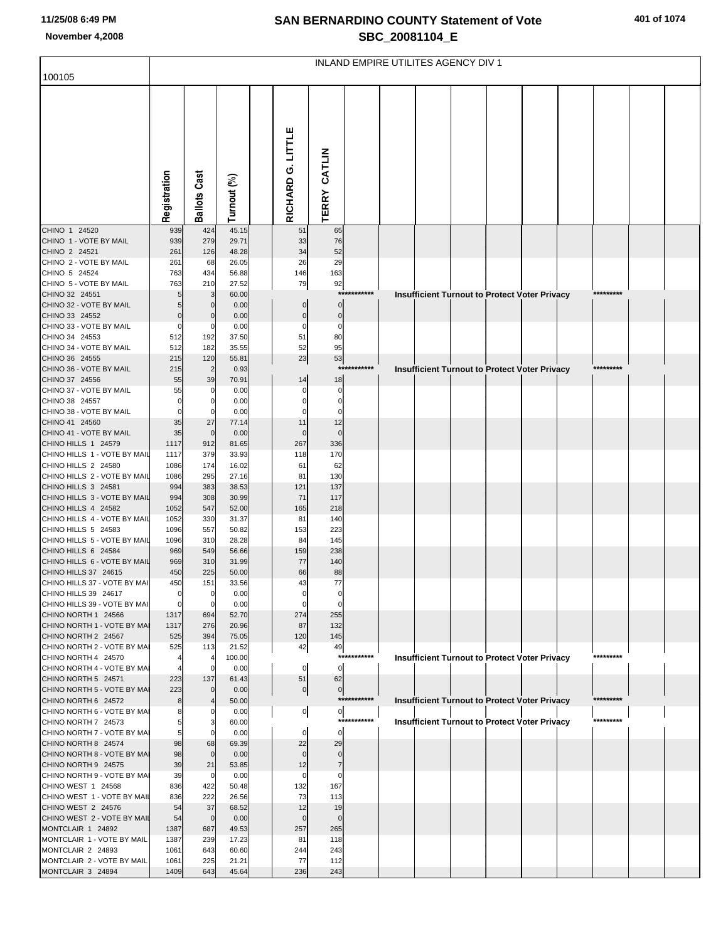## **SAN BERNARDINO COUNTY Statement of Vote November 4,2008 SBC\_20081104\_E**

| 401 of 1074 |  |  |
|-------------|--|--|
|-------------|--|--|

|                                                      | INLAND EMPIRE UTILITES AGENCY DIV 1 |                       |                |  |                   |                |             |  |  |  |  |                                                      |           |  |
|------------------------------------------------------|-------------------------------------|-----------------------|----------------|--|-------------------|----------------|-------------|--|--|--|--|------------------------------------------------------|-----------|--|
| 100105                                               |                                     |                       |                |  |                   |                |             |  |  |  |  |                                                      |           |  |
|                                                      |                                     |                       |                |  |                   |                |             |  |  |  |  |                                                      |           |  |
|                                                      |                                     |                       |                |  |                   |                |             |  |  |  |  |                                                      |           |  |
|                                                      |                                     |                       |                |  |                   |                |             |  |  |  |  |                                                      |           |  |
|                                                      |                                     |                       |                |  | RICHARD G. LITTLE |                |             |  |  |  |  |                                                      |           |  |
|                                                      |                                     |                       |                |  |                   |                |             |  |  |  |  |                                                      |           |  |
|                                                      |                                     | Cast                  |                |  |                   |                |             |  |  |  |  |                                                      |           |  |
|                                                      | Registration                        | Ballots               | Turnout (%)    |  |                   | TERRY CATLIN   |             |  |  |  |  |                                                      |           |  |
|                                                      |                                     |                       |                |  |                   |                |             |  |  |  |  |                                                      |           |  |
| CHINO 1 24520<br>CHINO 1 - VOTE BY MAIL              | 939<br>939                          | 424<br>279            | 45.15<br>29.71 |  | 51<br>33          | 65<br>76       |             |  |  |  |  |                                                      |           |  |
| CHINO 2 24521                                        | 261                                 | 126                   | 48.28          |  | 34                | 52             |             |  |  |  |  |                                                      |           |  |
| CHINO 2 - VOTE BY MAIL<br>CHINO 5 24524              | 261<br>763                          | 68<br>434             | 26.05<br>56.88 |  | 26<br>146         | 29<br>163      |             |  |  |  |  |                                                      |           |  |
| CHINO 5 - VOTE BY MAIL                               | 763                                 | 210                   | 27.52          |  | 79                | 92             |             |  |  |  |  |                                                      |           |  |
| CHINO 32 24551<br>CHINO 32 - VOTE BY MAIL            | 5<br>5                              | 3<br>$\mathbf 0$      | 60.00<br>0.00  |  |                   | 0              | *********** |  |  |  |  | <b>Insufficient Turnout to Protect Voter Privacy</b> | ********* |  |
| CHINO 33 24552                                       | $\overline{0}$                      | $\mathbf 0$           | 0.00           |  | 0                 | $\mathbf 0$    |             |  |  |  |  |                                                      |           |  |
| CHINO 33 - VOTE BY MAIL<br>CHINO 34 24553            | $\Omega$<br>512                     | C<br>192              | 0.00<br>37.50  |  | 0<br>51           | 0<br>80        |             |  |  |  |  |                                                      |           |  |
| CHINO 34 - VOTE BY MAIL                              | 512                                 | 182                   | 35.55          |  | 52                | 95             |             |  |  |  |  |                                                      |           |  |
| CHINO 36 24555<br>CHINO 36 - VOTE BY MAIL            | 215<br>215                          | 120<br>$\overline{2}$ | 55.81<br>0.93  |  | 23                | 53             | *********** |  |  |  |  | <b>Insufficient Turnout to Protect Voter Privacy</b> | ********* |  |
| CHINO 37 24556                                       | 55                                  | 39                    | 70.91          |  | 14                | 18             |             |  |  |  |  |                                                      |           |  |
| CHINO 37 - VOTE BY MAIL<br>CHINO 38 24557            | 55<br>O                             | C<br>0                | 0.00<br>0.00   |  | 0                 | 0<br>0         |             |  |  |  |  |                                                      |           |  |
| CHINO 38 - VOTE BY MAIL                              |                                     | C                     | 0.00           |  |                   |                |             |  |  |  |  |                                                      |           |  |
| CHINO 41 24560<br>CHINO 41 - VOTE BY MAIL            | 35<br>35                            | 27<br>$\mathbf 0$     | 77.14<br>0.00  |  | 11                | 12             |             |  |  |  |  |                                                      |           |  |
| CHINO HILLS 1 24579                                  | 1117                                | 912                   | 81.65          |  | 267               | 336            |             |  |  |  |  |                                                      |           |  |
| CHINO HILLS 1 - VOTE BY MAIL                         | 1117                                | 379                   | 33.93          |  | 118               | 170            |             |  |  |  |  |                                                      |           |  |
| CHINO HILLS 2 24580<br>CHINO HILLS 2 - VOTE BY MAIL  | 1086<br>1086                        | 174<br>295            | 16.02<br>27.16 |  | 61<br>81          | 62<br>130      |             |  |  |  |  |                                                      |           |  |
| CHINO HILLS 3 24581                                  | 994                                 | 383                   | 38.53          |  | 121               | 137            |             |  |  |  |  |                                                      |           |  |
| CHINO HILLS 3 - VOTE BY MAIL<br>CHINO HILLS 4 24582  | 994<br>1052                         | 308<br>547            | 30.99<br>52.00 |  | 71<br>165         | 117<br>218     |             |  |  |  |  |                                                      |           |  |
| CHINO HILLS 4 - VOTE BY MAIL                         | 1052                                | 330                   | 31.37          |  | 81                | 140            |             |  |  |  |  |                                                      |           |  |
| CHINO HILLS 5 24583<br>CHINO HILLS 5 - VOTE BY MAIL  | 1096<br>1096                        | 557<br>310            | 50.82<br>28.28 |  | 153<br>84         | 223<br>145     |             |  |  |  |  |                                                      |           |  |
| CHINO HILLS 6 24584<br>CHINO HILLS 6 - VOTE BY MAIL  | 969                                 | 549                   | 56.66          |  | 159               | 238            |             |  |  |  |  |                                                      |           |  |
| CHINO HILLS 37 24615                                 | 969<br>450                          | 310<br>225            | 31.99<br>50.00 |  | 77<br>66          | 140<br>88      |             |  |  |  |  |                                                      |           |  |
| CHINO HILLS 37 - VOTE BY MAI                         | 450<br>$\overline{0}$               | 151                   | 33.56          |  | 43                | 77             |             |  |  |  |  |                                                      |           |  |
| CHINO HILLS 39 24617<br>CHINO HILLS 39 - VOTE BY MAI |                                     | 0                     | 0.00<br>0.00   |  |                   |                |             |  |  |  |  |                                                      |           |  |
| CHINO NORTH 1 24566                                  | 1317                                | 694                   | 52.70          |  | 274               | 255            |             |  |  |  |  |                                                      |           |  |
| CHINO NORTH 1 - VOTE BY MAI<br>CHINO NORTH 2 24567   | 1317<br>525                         | 276<br>394            | 20.96<br>75.05 |  | 87<br>120         | 132<br>145     |             |  |  |  |  |                                                      |           |  |
| CHINO NORTH 2 - VOTE BY MAI<br>CHINO NORTH 4 24570   | 525                                 | 113                   | 21.52          |  | 42                | 49             | *********** |  |  |  |  |                                                      | ********* |  |
| CHINO NORTH 4 - VOTE BY MAI                          |                                     | C                     | 100.00<br>0.00 |  | $\mathbf 0$       | $\mathbf 0$    |             |  |  |  |  | Insufficient Turnout to Protect Voter Privacy        |           |  |
| CHINO NORTH 5 24571                                  | 223                                 | 137<br>$\Omega$       | 61.43          |  | 51                | 62             |             |  |  |  |  |                                                      |           |  |
| CHINO NORTH 5 - VOTE BY MAI<br>CHINO NORTH 6 24572   | 223<br>8                            |                       | 0.00<br>50.00  |  | $\mathbf{0}$      | 0              | *********** |  |  |  |  | Insufficient Turnout to Protect Voter Privacy        | ********* |  |
| CHINO NORTH 6 - VOTE BY MAI<br>CHINO NORTH 7 24573   | 5                                   | Э                     | 0.00           |  | 이                 | $\overline{0}$ | *********** |  |  |  |  |                                                      | ********* |  |
| CHINO NORTH 7 - VOTE BY MAI                          | 5                                   |                       | 60.00<br>0.00  |  | 0                 | $\mathbf 0$    |             |  |  |  |  | <b>Insufficient Turnout to Protect Voter Privacy</b> |           |  |
| CHINO NORTH 8 24574                                  | 98                                  | 68                    | 69.39          |  | 22                | 29             |             |  |  |  |  |                                                      |           |  |
| CHINO NORTH 8 - VOTE BY MAI<br>CHINO NORTH 9 24575   | 98<br>39                            | $\mathbf{0}$<br>21    | 0.00<br>53.85  |  | 12                | 7              |             |  |  |  |  |                                                      |           |  |
| CHINO NORTH 9 - VOTE BY MAI                          | 39                                  | $\mathcal{C}$         | 0.00           |  |                   | 0              |             |  |  |  |  |                                                      |           |  |
| CHINO WEST 1 24568<br>CHINO WEST 1 - VOTE BY MAIL    | 836<br>836                          | 422<br>222            | 50.48<br>26.56 |  | 132<br>73         | 167<br>113     |             |  |  |  |  |                                                      |           |  |
| CHINO WEST 2 24576                                   | 54                                  | 37                    | 68.52          |  | 12                | 19             |             |  |  |  |  |                                                      |           |  |
| CHINO WEST 2 - VOTE BY MAIL<br>MONTCLAIR 1 24892     | 54<br>1387                          | $\mathbf 0$<br>687    | 0.00<br>49.53  |  | 257               | 265            |             |  |  |  |  |                                                      |           |  |
| MONTCLAIR 1 - VOTE BY MAIL                           | 1387                                | 239                   | 17.23          |  | 81                | 118            |             |  |  |  |  |                                                      |           |  |
| MONTCLAIR 2 24893<br>MONTCLAIR 2 - VOTE BY MAIL      | 1061<br>1061                        | 643<br>225            | 60.60<br>21.21 |  | 244<br>77         | 243<br>112     |             |  |  |  |  |                                                      |           |  |
| MONTCLAIR 3 24894                                    | 1409                                | 643                   | 45.64          |  | 236               | 243            |             |  |  |  |  |                                                      |           |  |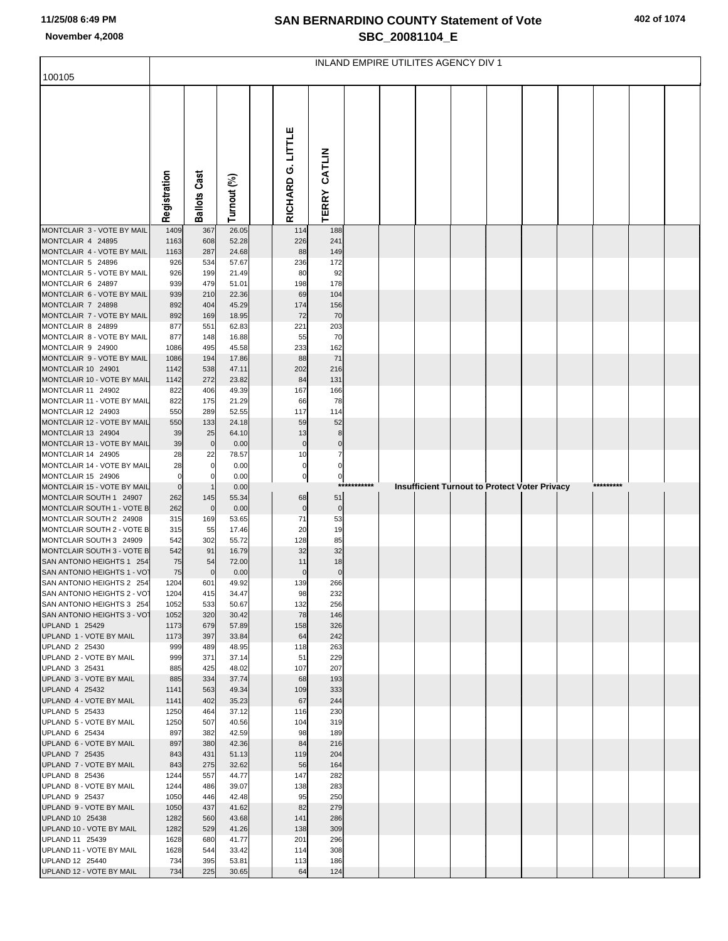## **SAN BERNARDINO COUNTY Statement of Vote November 4,2008 SBC\_20081104\_E**

|  |  | 402 of 1074 |  |
|--|--|-------------|--|
|--|--|-------------|--|

|                                                                                                                         | INLAND EMPIRE UTILITES AGENCY DIV 1 |                                 |                                           |  |                               |                                |         |  |  |  |  |                                                      |  |           |  |
|-------------------------------------------------------------------------------------------------------------------------|-------------------------------------|---------------------------------|-------------------------------------------|--|-------------------------------|--------------------------------|---------|--|--|--|--|------------------------------------------------------|--|-----------|--|
| 100105                                                                                                                  |                                     |                                 |                                           |  |                               |                                |         |  |  |  |  |                                                      |  |           |  |
|                                                                                                                         | Registration                        | <b>Ballots Cast</b>             | Turnout (%)                               |  | RICHARD G. LITTLE             | CATLIN<br><b>TERRY</b>         |         |  |  |  |  |                                                      |  |           |  |
| MONTCLAIR 3 - VOTE BY MAIL                                                                                              | 1409                                | 367                             | 26.05                                     |  | 114                           | 188                            |         |  |  |  |  |                                                      |  |           |  |
| MONTCLAIR 4 24895<br>MONTCLAIR 4 - VOTE BY MAIL<br>MONTCLAIR 5 24896<br>MONTCLAIR 5 - VOTE BY MAIL<br>MONTCLAIR 6 24897 | 1163<br>1163<br>926<br>926<br>939   | 608<br>287<br>534<br>199<br>479 | 52.28<br>24.68<br>57.67<br>21.49<br>51.01 |  | 226<br>88<br>236<br>80<br>198 | 241<br>149<br>172<br>92<br>178 |         |  |  |  |  |                                                      |  |           |  |
| MONTCLAIR 6 - VOTE BY MAIL<br>MONTCLAIR 7 24898                                                                         | 939<br>892                          | 210<br>404                      | 22.36<br>45.29                            |  | 69<br>174                     | 104<br>156                     |         |  |  |  |  |                                                      |  |           |  |
| MONTCLAIR 7 - VOTE BY MAIL                                                                                              | 892                                 | 169                             | 18.95                                     |  | 72                            | 70                             |         |  |  |  |  |                                                      |  |           |  |
| MONTCLAIR 8 24899<br>MONTCLAIR 8 - VOTE BY MAIL<br>MONTCLAIR 9 24900<br>MONTCLAIR 9 - VOTE BY MAIL                      | 877<br>877<br>1086<br>1086          | 551<br>148<br>495<br>194        | 62.83<br>16.88<br>45.58<br>17.86          |  | 221<br>55<br>233<br>88        | 203<br>70<br>162<br>71         |         |  |  |  |  |                                                      |  |           |  |
| MONTCLAIR 10 24901                                                                                                      | 1142                                | 538                             | 47.11                                     |  | 202                           | 216                            |         |  |  |  |  |                                                      |  |           |  |
| MONTCLAIR 10 - VOTE BY MAIL<br>MONTCLAIR 11 24902                                                                       | 1142<br>822                         | 272<br>406                      | 23.82<br>49.39                            |  | 84<br>167                     | 131<br>166                     |         |  |  |  |  |                                                      |  |           |  |
| MONTCLAIR 11 - VOTE BY MAIL                                                                                             | 822                                 | 175                             | 21.29                                     |  | 66                            | 78                             |         |  |  |  |  |                                                      |  |           |  |
| MONTCLAIR 12 24903                                                                                                      | 550                                 | 289                             | 52.55                                     |  | 117                           | 114                            |         |  |  |  |  |                                                      |  |           |  |
| MONTCLAIR 12 - VOTE BY MAIL<br>MONTCLAIR 13 24904                                                                       | 550<br>39                           | 133<br>25                       | 24.18<br>64.10                            |  | 59<br>13                      | 52<br>8                        |         |  |  |  |  |                                                      |  |           |  |
| MONTCLAIR 13 - VOTE BY MAIL                                                                                             | 39                                  | $\mathbf 0$                     | 0.00                                      |  | $\mathbf 0$                   | $\pmb{0}$                      |         |  |  |  |  |                                                      |  |           |  |
| MONTCLAIR 14 24905<br>MONTCLAIR 14 - VOTE BY MAIL                                                                       | 28<br>28                            | 22<br>$\mathbf 0$               | 78.57<br>0.00                             |  | 10<br>0                       | $\overline{7}$<br>$\pmb{0}$    |         |  |  |  |  |                                                      |  |           |  |
| MONTCLAIR 15 24906                                                                                                      | $\mathbf 0$                         | $\Omega$                        | 0.00                                      |  | $\pmb{0}$                     | $\pmb{0}$                      |         |  |  |  |  |                                                      |  |           |  |
| MONTCLAIR 15 - VOTE BY MAIL<br>MONTCLAIR SOUTH 1 24907                                                                  | $\mathbf 0$<br>262                  | 145                             | 0.00<br>55.34                             |  | 68                            | ***<br>51                      | ******* |  |  |  |  | <b>Insufficient Turnout to Protect Voter Privacy</b> |  | ********* |  |
| MONTCLAIR SOUTH 1 - VOTE B                                                                                              | 262                                 | $\mathbf 0$                     | 0.00                                      |  | $\mathbf 0$                   | $\mathbf 0$                    |         |  |  |  |  |                                                      |  |           |  |
| MONTCLAIR SOUTH 2 24908<br>MONTCLAIR SOUTH 2 - VOTE B                                                                   | 315<br>315                          | 169<br>55                       | 53.65<br>17.46                            |  | 71<br>20                      | 53<br>19                       |         |  |  |  |  |                                                      |  |           |  |
| MONTCLAIR SOUTH 3 24909                                                                                                 | 542                                 | 302                             | 55.72                                     |  | 128                           | 85                             |         |  |  |  |  |                                                      |  |           |  |
| MONTCLAIR SOUTH 3 - VOTE B                                                                                              | 542                                 | 91                              | 16.79                                     |  | 32<br>11                      | 32                             |         |  |  |  |  |                                                      |  |           |  |
| SAN ANTONIO HEIGHTS 1 254<br>SAN ANTONIO HEIGHTS 1 - VOT                                                                | 75<br>75                            | 54<br>$\mathbf 0$               | 72.00<br>0.00                             |  | $\mathbf 0$                   | 18<br>$\mathbf 0$              |         |  |  |  |  |                                                      |  |           |  |
| SAN ANTONIO HEIGHTS 2 254                                                                                               | 1204                                | 601                             | 49.92                                     |  | 139                           | 266                            |         |  |  |  |  |                                                      |  |           |  |
| SAN ANTONIO HEIGHTS 2 - VOT<br>SAN ANTONIO HEIGHTS 3 254                                                                | 1204<br>1052                        | 415<br>533                      | 34.47<br>50.67                            |  | 98<br>132                     | 232<br>256                     |         |  |  |  |  |                                                      |  |           |  |
| SAN ANTONIO HEIGHTS 3 - VOT                                                                                             | 1052                                | 320                             | 30.42                                     |  | 78                            | 146                            |         |  |  |  |  |                                                      |  |           |  |
| UPLAND 1 25429<br>UPLAND 1 - VOTE BY MAIL                                                                               | 1173<br>1173                        | 679<br>397                      | 57.89<br>33.84                            |  | 158<br>64                     | 326<br>242                     |         |  |  |  |  |                                                      |  |           |  |
| UPLAND 2 25430                                                                                                          | 999                                 | 489                             | 48.95                                     |  | 118                           | 263                            |         |  |  |  |  |                                                      |  |           |  |
| UPLAND 2 - VOTE BY MAIL<br>UPLAND 3 25431                                                                               | 999<br>885                          | 371<br>425                      | 37.14<br>48.02                            |  | 51<br>107                     | 229<br>207                     |         |  |  |  |  |                                                      |  |           |  |
| UPLAND 3 - VOTE BY MAIL                                                                                                 | 885                                 | 334                             | 37.74                                     |  | 68                            | 193                            |         |  |  |  |  |                                                      |  |           |  |
| UPLAND 4 25432<br>UPLAND 4 - VOTE BY MAIL                                                                               | 1141<br>1141                        | 563<br>402                      | 49.34<br>35.23                            |  | 109<br>67                     | 333<br>244                     |         |  |  |  |  |                                                      |  |           |  |
| UPLAND 5 25433                                                                                                          | 1250                                | 464                             | 37.12                                     |  | 116                           | 230                            |         |  |  |  |  |                                                      |  |           |  |
| UPLAND 5 - VOTE BY MAIL<br>UPLAND 6 25434                                                                               | 1250<br>897                         | 507<br>382                      | 40.56<br>42.59                            |  | 104<br>98                     | 319<br>189                     |         |  |  |  |  |                                                      |  |           |  |
| UPLAND 6 - VOTE BY MAIL                                                                                                 | 897                                 | 380                             | 42.36                                     |  | 84                            | 216                            |         |  |  |  |  |                                                      |  |           |  |
| UPLAND 7 25435<br>UPLAND 7 - VOTE BY MAIL                                                                               | 843<br>843                          | 431<br>275                      | 51.13<br>32.62                            |  | 119<br>56                     | 204<br>164                     |         |  |  |  |  |                                                      |  |           |  |
| UPLAND 8 25436                                                                                                          | 1244                                | 557                             | 44.77                                     |  | 147                           | 282                            |         |  |  |  |  |                                                      |  |           |  |
| UPLAND 8 - VOTE BY MAIL<br>UPLAND 9 25437                                                                               | 1244<br>1050                        | 486<br>446                      | 39.07<br>42.48                            |  | 138<br>95                     | 283<br>250                     |         |  |  |  |  |                                                      |  |           |  |
| UPLAND 9 - VOTE BY MAIL                                                                                                 | 1050                                | 437                             | 41.62                                     |  | 82                            | 279                            |         |  |  |  |  |                                                      |  |           |  |
| UPLAND 10 25438<br>UPLAND 10 - VOTE BY MAIL                                                                             | 1282<br>1282                        | 560<br>529                      | 43.68<br>41.26                            |  | 141<br>138                    | 286<br>309                     |         |  |  |  |  |                                                      |  |           |  |
| UPLAND 11 25439                                                                                                         | 1628                                | 680                             | 41.77                                     |  | 201                           | 296                            |         |  |  |  |  |                                                      |  |           |  |
| UPLAND 11 - VOTE BY MAIL<br>UPLAND 12 25440                                                                             | 1628<br>734                         | 544<br>395                      | 33.42<br>53.81                            |  | 114                           | 308<br>186                     |         |  |  |  |  |                                                      |  |           |  |
| UPLAND 12 - VOTE BY MAIL                                                                                                | 734                                 | 225                             | 30.65                                     |  | 113<br>64                     | 124                            |         |  |  |  |  |                                                      |  |           |  |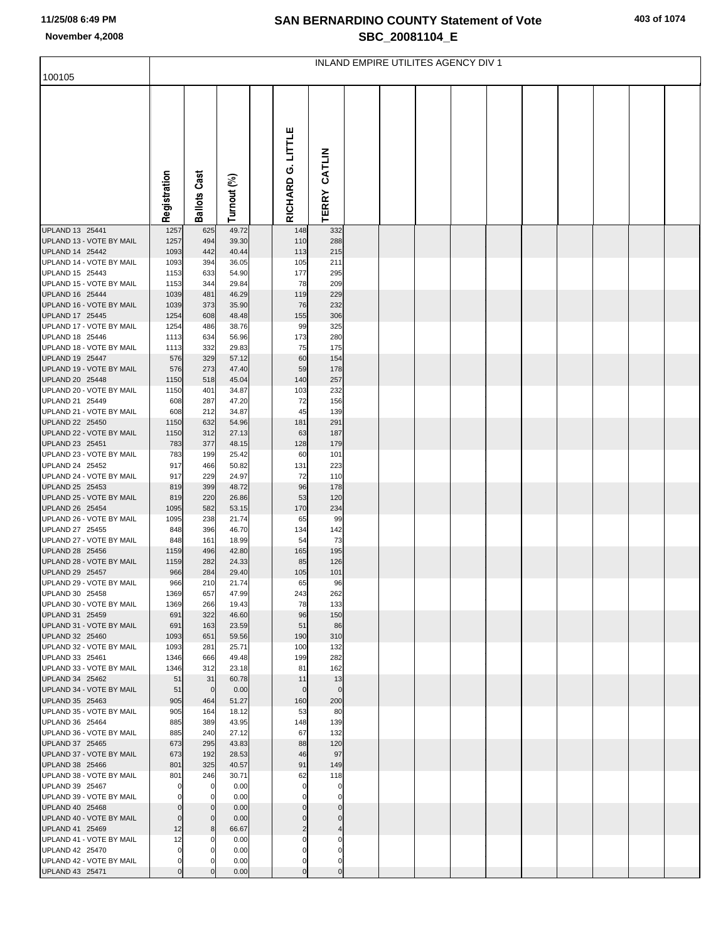## **SAN BERNARDINO COUNTY Statement of Vote November 4,2008 SBC\_20081104\_E**

|  |  | 403 of 1074 |
|--|--|-------------|
|--|--|-------------|

|                                             | INLAND EMPIRE UTILITES AGENCY DIV 1 |                         |                |  |                   |                   |  |  |  |  |  |  |  |  |
|---------------------------------------------|-------------------------------------|-------------------------|----------------|--|-------------------|-------------------|--|--|--|--|--|--|--|--|
| 100105                                      |                                     |                         |                |  |                   |                   |  |  |  |  |  |  |  |  |
|                                             | Registration                        | <b>Ballots Cast</b>     | Turnout (%)    |  | RICHARD G. LITTLE | TERRY CATLIN      |  |  |  |  |  |  |  |  |
| UPLAND 13 25441                             | 1257                                | 625                     | 49.72          |  | 148               | 332               |  |  |  |  |  |  |  |  |
| UPLAND 13 - VOTE BY MAIL<br>UPLAND 14 25442 | 1257<br>1093                        | 494<br>442              | 39.30<br>40.44 |  | 110<br>113        | 288<br>215        |  |  |  |  |  |  |  |  |
| UPLAND 14 - VOTE BY MAIL                    | 1093                                | 394                     | 36.05          |  | 105               | 211               |  |  |  |  |  |  |  |  |
| UPLAND 15 25443                             | 1153                                | 633                     | 54.90          |  | 177               | 295               |  |  |  |  |  |  |  |  |
| UPLAND 15 - VOTE BY MAIL                    | 1153                                | 344                     | 29.84          |  | 78                | 209               |  |  |  |  |  |  |  |  |
| UPLAND 16 25444<br>UPLAND 16 - VOTE BY MAIL | 1039<br>1039                        | 481<br>373              | 46.29<br>35.90 |  | 119<br>76         | 229<br>232        |  |  |  |  |  |  |  |  |
| UPLAND 17 25445                             | 1254                                | 608                     | 48.48          |  | 155               | 306               |  |  |  |  |  |  |  |  |
| UPLAND 17 - VOTE BY MAIL                    | 1254                                | 486                     | 38.76          |  | 99                | 325               |  |  |  |  |  |  |  |  |
| UPLAND 18 25446                             | 1113                                | 634                     | 56.96          |  | 173               | 280               |  |  |  |  |  |  |  |  |
| UPLAND 18 - VOTE BY MAIL<br>UPLAND 19 25447 | 1113                                | 332<br>329              | 29.83<br>57.12 |  | 75<br>60          | 175<br>154        |  |  |  |  |  |  |  |  |
| UPLAND 19 - VOTE BY MAIL                    | 576<br>576                          | 273                     | 47.40          |  | 59                | 178               |  |  |  |  |  |  |  |  |
| UPLAND 20 25448                             | 1150                                | 518                     | 45.04          |  | 140               | 257               |  |  |  |  |  |  |  |  |
| UPLAND 20 - VOTE BY MAIL                    | 1150                                | 401                     | 34.87          |  | 103               | 232               |  |  |  |  |  |  |  |  |
| UPLAND 21 25449                             | 608                                 | 287                     | 47.20          |  | 72                | 156               |  |  |  |  |  |  |  |  |
| UPLAND 21 - VOTE BY MAIL<br>UPLAND 22 25450 | 608<br>1150                         | 212<br>632              | 34.87<br>54.96 |  | 45<br>181         | 139<br>291        |  |  |  |  |  |  |  |  |
| UPLAND 22 - VOTE BY MAIL                    | 1150                                | 312                     | 27.13          |  | 63                | 187               |  |  |  |  |  |  |  |  |
| UPLAND 23 25451                             | 783                                 | 377                     | 48.15          |  | 128               | 179               |  |  |  |  |  |  |  |  |
| UPLAND 23 - VOTE BY MAIL                    | 783                                 | 199                     | 25.42          |  | 60                | 101               |  |  |  |  |  |  |  |  |
| UPLAND 24 25452<br>UPLAND 24 - VOTE BY MAIL | 917<br>917                          | 466<br>229              | 50.82<br>24.97 |  | 131<br>72         | 223<br>110        |  |  |  |  |  |  |  |  |
| UPLAND 25 25453                             | 819                                 | 399                     | 48.72          |  | 96                | 178               |  |  |  |  |  |  |  |  |
| UPLAND 25 - VOTE BY MAIL                    | 819                                 | 220                     | 26.86          |  | 53                | 120               |  |  |  |  |  |  |  |  |
| UPLAND 26 25454                             | 1095                                | 582                     | 53.15          |  | 170               | 234               |  |  |  |  |  |  |  |  |
| UPLAND 26 - VOTE BY MAIL<br>UPLAND 27 25455 | 1095<br>848                         | 238<br>396              | 21.74<br>46.70 |  | 65<br>134         | 99<br>142         |  |  |  |  |  |  |  |  |
| UPLAND 27 - VOTE BY MAIL                    | 848                                 | 161                     | 18.99          |  | 54                | 73                |  |  |  |  |  |  |  |  |
| UPLAND 28 25456                             | 1159                                | 496                     | 42.80          |  | 165               | 195               |  |  |  |  |  |  |  |  |
| UPLAND 28 - VOTE BY MAIL                    | 1159                                | 282                     | 24.33          |  | 85                | 126               |  |  |  |  |  |  |  |  |
| UPLAND 29 25457<br>UPLAND 29 - VOTE BY MAIL | 966<br>966                          | 284<br>210              | 29.40<br>21.74 |  | 105<br>65         | 101<br>96         |  |  |  |  |  |  |  |  |
| UPLAND 30 25458                             | 1369                                | 657                     | 47.99          |  | 243               | 262               |  |  |  |  |  |  |  |  |
| UPLAND 30 - VOTE BY MAIL                    | 1369                                | 266                     | 19.43          |  | 78                | 133               |  |  |  |  |  |  |  |  |
| UPLAND 31 25459                             | 691                                 | 322                     | 46.60          |  | 96                | 150               |  |  |  |  |  |  |  |  |
| UPLAND 31 - VOTE BY MAIL<br>UPLAND 32 25460 | 691<br>1093                         | 163<br>651              | 23.59<br>59.56 |  | 51<br>190         | 86<br>310         |  |  |  |  |  |  |  |  |
| UPLAND 32 - VOTE BY MAIL                    | 1093                                | 281                     | 25.71          |  | 100               | 132               |  |  |  |  |  |  |  |  |
| UPLAND 33 25461                             | 1346                                | 666                     | 49.48          |  | 199               | 282               |  |  |  |  |  |  |  |  |
| UPLAND 33 - VOTE BY MAIL                    | 1346                                | 312                     | 23.18          |  | 81                | 162               |  |  |  |  |  |  |  |  |
| UPLAND 34 25462<br>UPLAND 34 - VOTE BY MAIL | 51<br>51                            | 31<br>$\mathbf 0$       | 60.78<br>0.00  |  | 11<br>$\Omega$    | 13<br>$\mathbf 0$ |  |  |  |  |  |  |  |  |
| UPLAND 35 25463                             | 905                                 | 464                     | 51.27          |  | 160               | 200               |  |  |  |  |  |  |  |  |
| UPLAND 35 - VOTE BY MAIL                    | 905                                 | 164                     | 18.12          |  | 53                | 80                |  |  |  |  |  |  |  |  |
| UPLAND 36 25464                             | 885                                 | 389                     | 43.95          |  | 148               | 139               |  |  |  |  |  |  |  |  |
| UPLAND 36 - VOTE BY MAIL<br>UPLAND 37 25465 | 885<br>673                          | 240<br>295              | 27.12<br>43.83 |  | 67<br>88          | 132<br>120        |  |  |  |  |  |  |  |  |
| UPLAND 37 - VOTE BY MAIL                    | 673                                 | 192                     | 28.53          |  | 46                | 97                |  |  |  |  |  |  |  |  |
| UPLAND 38 25466                             | 801                                 | 325                     | 40.57          |  | 91                | 149               |  |  |  |  |  |  |  |  |
| UPLAND 38 - VOTE BY MAIL                    | 801                                 | 246                     | 30.71          |  | 62                | 118               |  |  |  |  |  |  |  |  |
| UPLAND 39 25467<br>UPLAND 39 - VOTE BY MAIL | O<br>$\Omega$                       | $\mathbf 0$<br>$\Omega$ | 0.00<br>0.00   |  | O                 | 0<br>O            |  |  |  |  |  |  |  |  |
| UPLAND 40 25468                             |                                     |                         | 0.00           |  |                   |                   |  |  |  |  |  |  |  |  |
| UPLAND 40 - VOTE BY MAIL                    | $\overline{0}$                      | $\mathbf 0$             | 0.00           |  |                   |                   |  |  |  |  |  |  |  |  |
| UPLAND 41 25469                             | 12                                  | 8                       | 66.67          |  | 2                 |                   |  |  |  |  |  |  |  |  |
| UPLAND 41 - VOTE BY MAIL                    | 12                                  | C                       | 0.00           |  | 0                 | 0                 |  |  |  |  |  |  |  |  |
| UPLAND 42 25470<br>UPLAND 42 - VOTE BY MAIL | $\Omega$<br>$\mathbf{0}$            |                         | 0.00<br>0.00   |  | n                 | 0                 |  |  |  |  |  |  |  |  |
| UPLAND 43 25471                             | $\Omega$                            |                         | 0.00           |  |                   | $\Omega$          |  |  |  |  |  |  |  |  |
|                                             |                                     |                         |                |  |                   |                   |  |  |  |  |  |  |  |  |